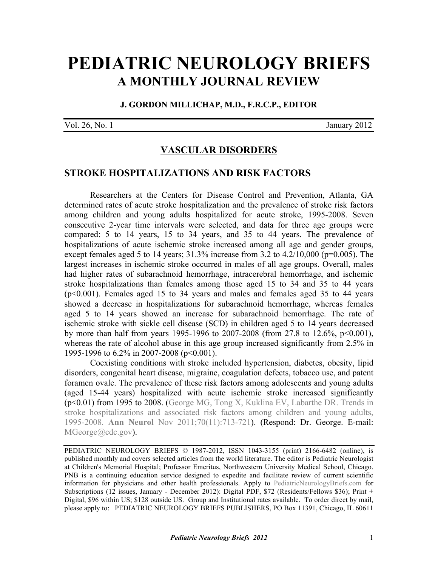## **[PEDIATRIC NEUROLOGY BRIEFS](http://www.pediatricneurologybriefs.com/) A MONTHLY JOURNAL REVIEW**

**J. GORDON MILLICHAP, M.D., F.R.C.P., EDITOR** 

Vol. 26, No. 1 January 2012

## **VASCULAR DISORDERS**

## **STROKE HOSPITALIZATIONS AND RISK FACTORS**

Researchers at the Centers for Disease Control and Prevention, Atlanta, GA determined rates of acute stroke hospitalization and the prevalence of stroke risk factors among children and young adults hospitalized for acute stroke, 1995-2008. Seven consecutive 2-year time intervals were selected, and data for three age groups were compared: 5 to 14 years, 15 to 34 years, and 35 to 44 years. The prevalence of hospitalizations of acute ischemic stroke increased among all age and gender groups, except females aged 5 to 14 years;  $31.3\%$  increase from 3.2 to  $4.2/10,000$  (p=0.005). The largest increases in ischemic stroke occurred in males of all age groups. Overall, males had higher rates of subarachnoid hemorrhage, intracerebral hemorrhage, and ischemic stroke hospitalizations than females among those aged 15 to 34 and 35 to 44 years (p<0.001). Females aged 15 to 34 years and males and females aged 35 to 44 years showed a decrease in hospitalizations for subarachnoid hemorrhage, whereas females aged 5 to 14 years showed an increase for subarachnoid hemorrhage. The rate of ischemic stroke with sickle cell disease (SCD) in children aged 5 to 14 years decreased by more than half from years 1995-1996 to 2007-2008 (from 27.8 to 12.6%, p<0.001), whereas the rate of alcohol abuse in this age group increased significantly from 2.5% in 1995-1996 to 6.2% in 2007-2008 (p<0.001).

Coexisting conditions with stroke included hypertension, diabetes, obesity, lipid disorders, congenital heart disease, migraine, coagulation defects, tobacco use, and patent foramen ovale. The prevalence of these risk factors among adolescents and young adults (aged 15-44 years) hospitalized with acute ischemic stroke increased significantly [\(p<0.01\) from 1995 to 2008. \(George MG, Tong X, Kuklina EV, Labarthe DR. Trends in](http://dx.doi.org/10.1002/ana.22539) stroke hospitalizations and associated risk factors among children and young adults, 1995-2008. **Ann Neurol** Nov 2011;70(11):713-721). (Respond: Dr. George. E-mail: MGeorge@cdc.gov).

PEDIATRIC NEUROLOGY BRIEFS © 1987-2012, [ISSN 1043-3155](http://www.worldcat.org/oclc/19417722) (print) [2166-6482 \(online\)](http://www.worldcat.org/oclc/781441925), is published monthly and covers selected articles from the world literature. The editor is Pediatric Neurologist at Children's Memorial Hospital; Professor Emeritus, Northwestern University Medical School, Chicago. PNB is a continuing education service designed to expedite and facilitate review of current scientific information for physicians and other health professionals. Apply to [PediatricNeurologyBriefs.com](http://www.pediatricneurologybriefs.com/) for Subscriptions (12 issues, January - December 2012): Digital PDF, \$72 (Residents/Fellows \$36); Print + Digital, \$96 within US; \$128 outside US. Group and Institutional rates available. To order direct by mail, please apply to: PEDIATRIC NEUROLOGY BRIEFS PUBLISHERS, PO Box 11391, Chicago, IL 60611